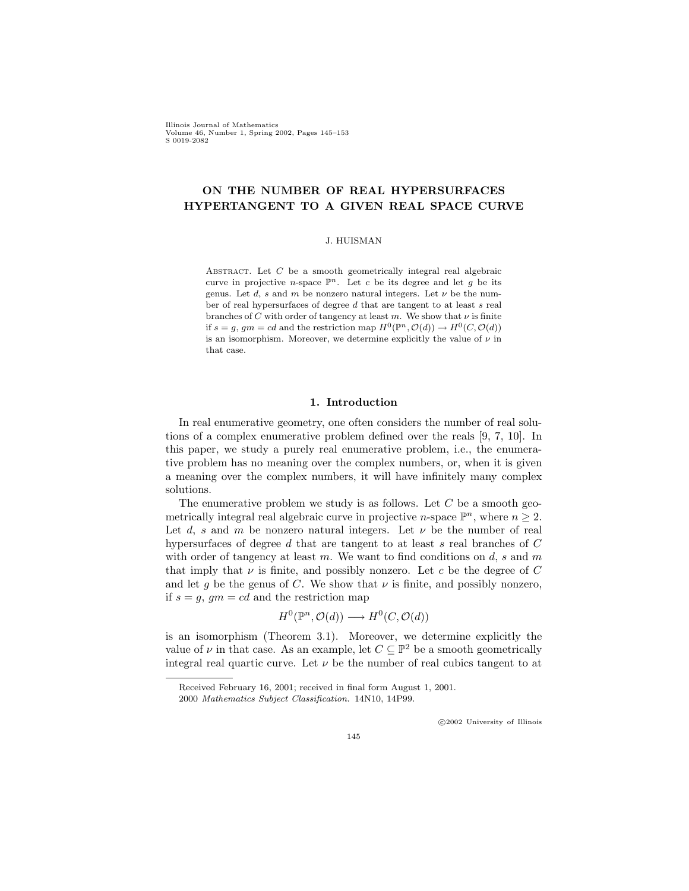Illinois Journal of Mathematics Volume 46, Number 1, Spring 2002, Pages 145–153 S 0019-2082

# ON THE NUMBER OF REAL HYPERSURFACES HYPERTANGENT TO A GIVEN REAL SPACE CURVE

#### J. HUISMAN

ABSTRACT. Let  $C$  be a smooth geometrically integral real algebraic curve in projective *n*-space  $\mathbb{P}^n$ . Let c be its degree and let g be its genus. Let d, s and m be nonzero natural integers. Let  $\nu$  be the number of real hypersurfaces of degree d that are tangent to at least s real branches of C with order of tangency at least m. We show that  $\nu$  is finite if  $s = g$ ,  $gm = cd$  and the restriction map  $H^0(\mathbb{P}^n, \mathcal{O}(d)) \to H^0(C, \mathcal{O}(d))$ is an isomorphism. Moreover, we determine explicitly the value of  $\nu$  in that case.

### 1. Introduction

In real enumerative geometry, one often considers the number of real solutions of a complex enumerative problem defined over the reals [9, 7, 10]. In this paper, we study a purely real enumerative problem, i.e., the enumerative problem has no meaning over the complex numbers, or, when it is given a meaning over the complex numbers, it will have infinitely many complex solutions.

The enumerative problem we study is as follows. Let  $C$  be a smooth geometrically integral real algebraic curve in projective *n*-space  $\mathbb{P}^n$ , where  $n \geq 2$ . Let d, s and m be nonzero natural integers. Let  $\nu$  be the number of real hypersurfaces of degree  $d$  that are tangent to at least  $s$  real branches of  $C$ with order of tangency at least  $m$ . We want to find conditions on  $d$ ,  $s$  and  $m$ that imply that  $\nu$  is finite, and possibly nonzero. Let c be the degree of C and let g be the genus of C. We show that  $\nu$  is finite, and possibly nonzero, if  $s = q$ ,  $qm = cd$  and the restriction map

$$
H^0(\mathbb{P}^n, \mathcal{O}(d)) \longrightarrow H^0(C, \mathcal{O}(d))
$$

is an isomorphism (Theorem 3.1). Moreover, we determine explicitly the value of  $\nu$  in that case. As an example, let  $C \subseteq \mathbb{P}^2$  be a smooth geometrically integral real quartic curve. Let  $\nu$  be the number of real cubics tangent to at

c 2002 University of Illinois

Received February 16, 2001; received in final form August 1, 2001.

<sup>2000</sup> Mathematics Subject Classification. 14N10, 14P99.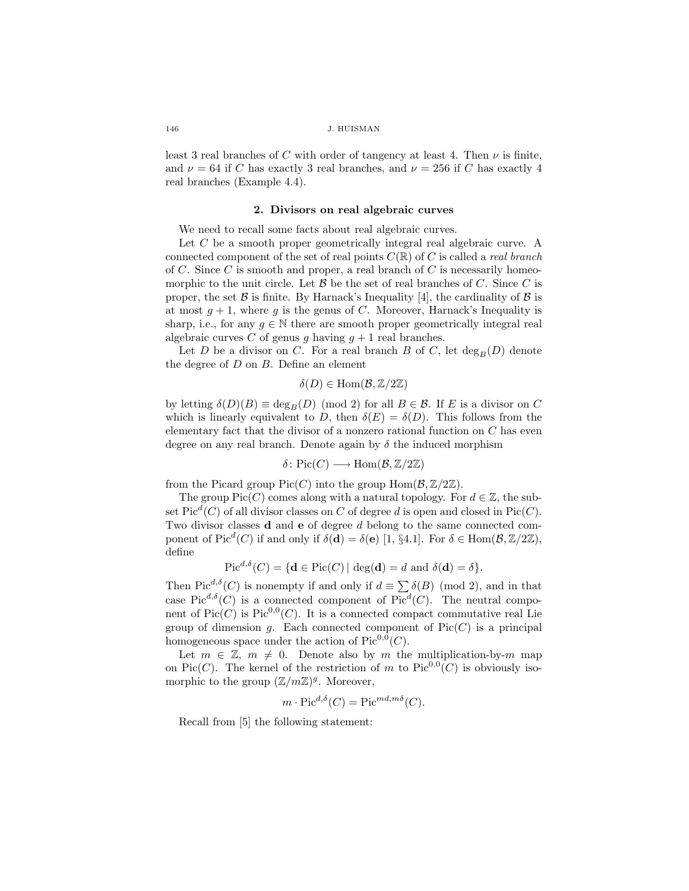least 3 real branches of C with order of tangency at least 4. Then  $\nu$  is finite, and  $\nu = 64$  if C has exactly 3 real branches, and  $\nu = 256$  if C has exactly 4 real branches (Example 4.4).

### 2. Divisors on real algebraic curves

We need to recall some facts about real algebraic curves.

Let C be a smooth proper geometrically integral real algebraic curve. A connected component of the set of real points  $C(\mathbb{R})$  of C is called a *real branch* of C. Since C is smooth and proper, a real branch of C is necessarily homeomorphic to the unit circle. Let  $\mathcal{B}$  be the set of real branches of C. Since C is proper, the set  $\beta$  is finite. By Harnack's Inequality [4], the cardinality of  $\beta$  is at most  $g + 1$ , where g is the genus of C. Moreover, Harnack's Inequality is sharp, i.e., for any  $q \in \mathbb{N}$  there are smooth proper geometrically integral real algebraic curves C of genus g having  $q + 1$  real branches.

Let D be a divisor on C. For a real branch B of C, let  $\deg_B(D)$  denote the degree of  $D$  on  $B$ . Define an element

$$
\delta(D) \in \text{Hom}(\mathcal{B}, \mathbb{Z}/2\mathbb{Z})
$$

by letting  $\delta(D)(B) \equiv \deg_B(D) \pmod{2}$  for all  $B \in \mathcal{B}$ . If E is a divisor on C which is linearly equivalent to D, then  $\delta(E) = \delta(D)$ . This follows from the elementary fact that the divisor of a nonzero rational function on  $C$  has even degree on any real branch. Denote again by  $\delta$  the induced morphism

$$
\delta\colon \mathrm{Pic}(C)\longrightarrow \mathrm{Hom}(\mathcal{B},\mathbb{Z}/2\mathbb{Z})
$$

from the Picard group  $Pic(C)$  into the group  $Hom(\mathcal{B},\mathbb{Z}/2\mathbb{Z})$ .

The group  $Pic(C)$  comes along with a natural topology. For  $d \in \mathbb{Z}$ , the subset  $Pic<sup>d</sup>(C)$  of all divisor classes on C of degree d is open and closed in Pic(C). Two divisor classes **d** and **e** of degree d belong to the same connected component of Pic<sup>d</sup>(C) if and only if  $\delta(\mathbf{d}) = \delta(\mathbf{e})$  [1, §4.1]. For  $\delta \in \text{Hom}(\mathcal{B}, \mathbb{Z}/2\mathbb{Z})$ , define

$$
Pic^{d,\delta}(C) = \{ \mathbf{d} \in Pic(C) \mid \deg(\mathbf{d}) = d \text{ and } \delta(\mathbf{d}) = \delta \}.
$$

Then Pic<sup>d,δ</sup>(C) is nonempty if and only if  $d \equiv \sum \delta(B) \pmod{2}$ , and in that case Pic<sup> $d,\delta$ </sup>(C) is a connected component of Pic<sup> $d$ </sup>(C). The neutral component of  $Pic(C)$  is  $Pic^{0,0}(C)$ . It is a connected compact commutative real Lie group of dimension g. Each connected component of  $Pic(C)$  is a principal homogeneous space under the action of  $Pic^{0,0}(C)$ .

Let  $m \in \mathbb{Z}$ ,  $m \neq 0$ . Denote also by m the multiplication-by-m map on Pic(C). The kernel of the restriction of m to  $Pic^{0,0}(C)$  is obviously isomorphic to the group  $(\mathbb{Z}/m\mathbb{Z})^g$ . Moreover,

$$
m \cdot \text{Pic}^{d,\delta}(C) = \text{Pic}^{md,m\delta}(C).
$$

Recall from [5] the following statement: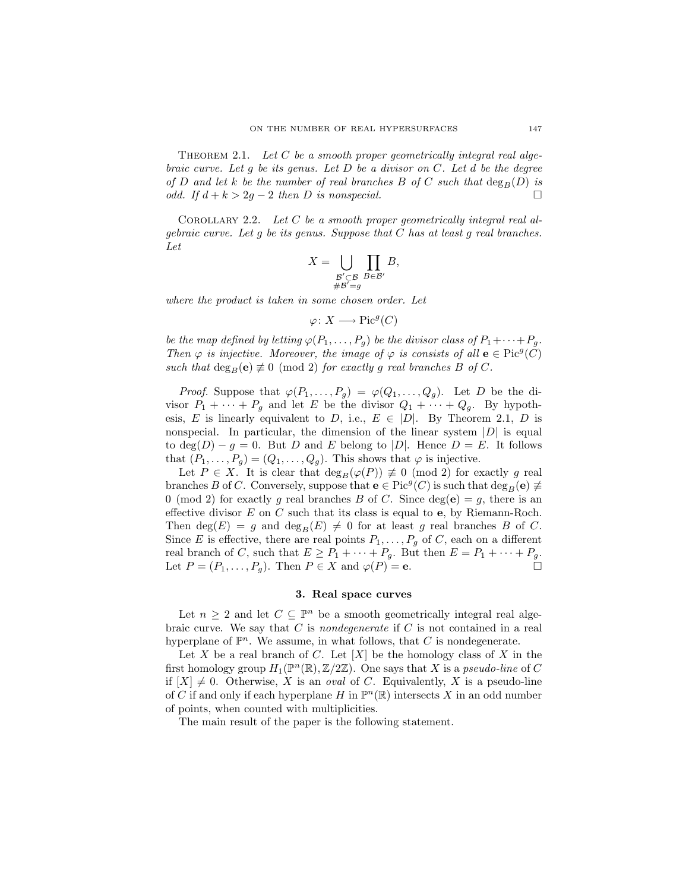THEOREM 2.1. Let  $C$  be a smooth proper geometrically integral real algebraic curve. Let q be its genus. Let D be a divisor on  $C$ . Let d be the degree of D and let k be the number of real branches B of C such that  $\deg_B(D)$  is odd. If  $d + k > 2g - 2$  then D is nonspecial. □

COROLLARY 2.2. Let  $C$  be a smooth proper geometrically integral real algebraic curve. Let  $g$  be its genus. Suppose that  $C$  has at least  $g$  real branches. Let

$$
X = \bigcup_{\substack{\mathcal{B}' \subset \mathcal{B} \\ \# \mathcal{B}' = g}} \prod_{B \in \mathcal{B}'} B,
$$

where the product is taken in some chosen order. Let

 $\varphi\colon X\longrightarrow \mathrm{Pic}^g(C)$ 

be the map defined by letting  $\varphi(P_1, \ldots, P_g)$  be the divisor class of  $P_1 + \cdots + P_g$ . Then  $\varphi$  is injective. Moreover, the image of  $\varphi$  is consists of all  $\mathbf{e} \in \text{Pic}^g(\tilde{C})$ such that  $\deg_B(e) \not\equiv 0 \pmod{2}$  for exactly g real branches B of C.

*Proof.* Suppose that  $\varphi(P_1, \ldots, P_g) = \varphi(Q_1, \ldots, Q_g)$ . Let D be the divisor  $P_1 + \cdots + P_q$  and let E be the divisor  $Q_1 + \cdots + Q_q$ . By hypothesis, E is linearly equivalent to D, i.e.,  $E \in |D|$ . By Theorem 2.1, D is nonspecial. In particular, the dimension of the linear system  $|D|$  is equal to  $deg(D) - g = 0$ . But D and E belong to |D|. Hence  $D = E$ . It follows that  $(P_1, \ldots, P_g) = (Q_1, \ldots, Q_g)$ . This shows that  $\varphi$  is injective.

Let  $P \in X$ . It is clear that  $\deg_B(\varphi(P)) \not\equiv 0 \pmod{2}$  for exactly g real branches B of C. Conversely, suppose that  $e \in Pic^g(C)$  is such that  $deg_B(e) \neq$ 0 (mod 2) for exactly g real branches B of C. Since  $deg(e) = g$ , there is an effective divisor  $E$  on  $C$  such that its class is equal to  $e$ , by Riemann-Roch. Then  $deg(E) = g$  and  $deg_B(E) \neq 0$  for at least g real branches B of C. Since E is effective, there are real points  $P_1, \ldots, P_g$  of C, each on a different real branch of C, such that  $E \ge P_1 + \cdots + P_g$ . But then  $E = P_1 + \cdots + P_g$ . Let  $P = (P_1, \ldots, P_g)$ . Then  $P \in X$  and  $\varphi(P) = e$ .

## 3. Real space curves

Let  $n \geq 2$  and let  $C \subseteq \mathbb{P}^n$  be a smooth geometrically integral real algebraic curve. We say that  $C$  is *nondegenerate* if  $C$  is not contained in a real hyperplane of  $\mathbb{P}^n$ . We assume, in what follows, that C is nondegenerate.

Let X be a real branch of C. Let  $[X]$  be the homology class of X in the first homology group  $H_1(\mathbb{P}^n(\mathbb{R}), \mathbb{Z}/2\mathbb{Z})$ . One says that X is a *pseudo-line* of C if  $[X] \neq 0$ . Otherwise, X is an *oval* of C. Equivalently, X is a pseudo-line of C if and only if each hyperplane H in  $\mathbb{P}^n(\mathbb{R})$  intersects X in an odd number of points, when counted with multiplicities.

The main result of the paper is the following statement.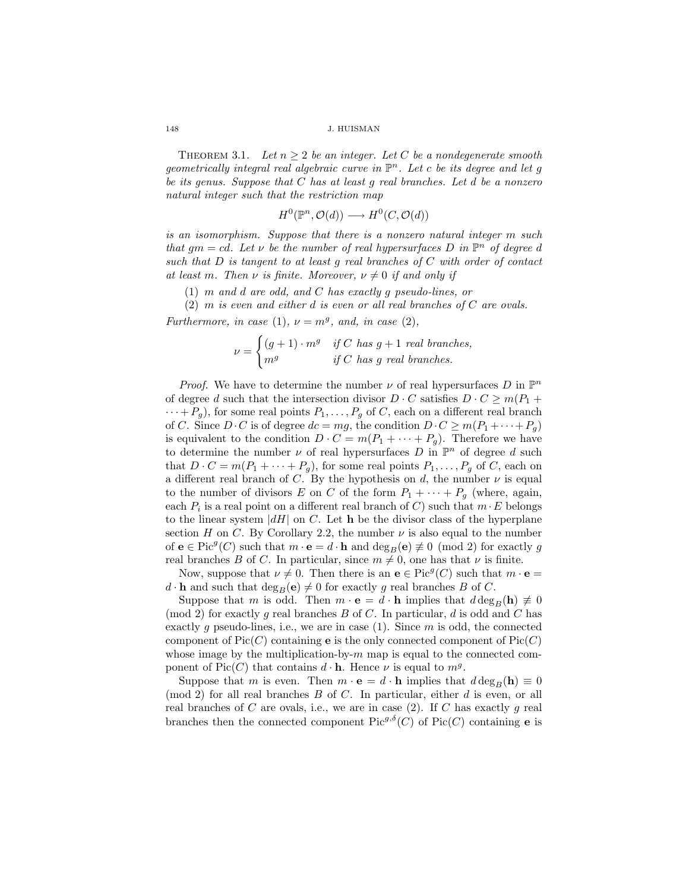THEOREM 3.1. Let  $n \geq 2$  be an integer. Let C be a nondegenerate smooth geometrically integral real algebraic curve in  $\mathbb{P}^n$ . Let c be its degree and let g be its genus. Suppose that C has at least g real branches. Let d be a nonzero natural integer such that the restriction map

$$
H^0(\mathbb{P}^n, \mathcal{O}(d)) \longrightarrow H^0(C, \mathcal{O}(d))
$$

is an isomorphism. Suppose that there is a nonzero natural integer m such that  $gm = cd$ . Let v be the number of real hypersurfaces D in  $\mathbb{P}^n$  of degree d such that  $D$  is tangent to at least  $q$  real branches of  $C$  with order of contact at least m. Then  $\nu$  is finite. Moreover,  $\nu \neq 0$  if and only if

(1) m and d are odd, and C has exactly g pseudo-lines, or

 $(2)$  m is even and either d is even or all real branches of C are ovals. Furthermore, in case (1),  $\nu = m^g$ , and, in case (2),

$$
\nu = \begin{cases} (g+1) \cdot m^g & \text{if } C \text{ has } g+1 \text{ real branches,} \\ m^g & \text{if } C \text{ has } g \text{ real branches.} \end{cases}
$$

*Proof.* We have to determine the number  $\nu$  of real hypersurfaces  $D$  in  $\mathbb{P}^n$ of degree d such that the intersection divisor  $D \cdot C$  satisfies  $D \cdot C \geq m(P_1 +$  $\cdots + P_g$ , for some real points  $P_1, \ldots, P_g$  of C, each on a different real branch of C. Since  $D \cdot C$  is of degree  $dc = mg$ , the condition  $D \cdot C \geq m(P_1 + \cdots + P_g)$ is equivalent to the condition  $D \cdot C = m(P_1 + \cdots + P_g)$ . Therefore we have to determine the number  $\nu$  of real hypersurfaces D in  $\mathbb{P}^n$  of degree d such that  $D \cdot C = m(P_1 + \cdots + P_g)$ , for some real points  $P_1, \ldots, P_g$  of C, each on a different real branch of C. By the hypothesis on d, the number  $\nu$  is equal to the number of divisors E on C of the form  $P_1 + \cdots + P_g$  (where, again, each  $P_i$  is a real point on a different real branch of C) such that  $m \cdot E$  belongs to the linear system  $|dH|$  on C. Let **h** be the divisor class of the hyperplane section H on C. By Corollary 2.2, the number  $\nu$  is also equal to the number of  $e \in Pic^{g}(C)$  such that  $m \cdot e = d \cdot h$  and  $deg_B(e) \not\equiv 0 \pmod{2}$  for exactly g real branches B of C. In particular, since  $m \neq 0$ , one has that  $\nu$  is finite.

Now, suppose that  $\nu \neq 0$ . Then there is an  $e \in Pic<sup>g</sup>(C)$  such that  $m \cdot e =$  $d \cdot \mathbf{h}$  and such that  $\deg_B(\mathbf{e}) \neq 0$  for exactly g real branches B of C.

Suppose that m is odd. Then  $m \cdot e = d \cdot h$  implies that  $d \deg_B(h) \neq 0$ (mod 2) for exactly g real branches B of C. In particular, d is odd and C has exactly g pseudo-lines, i.e., we are in case  $(1)$ . Since m is odd, the connected component of  $Pic(C)$  containing **e** is the only connected component of  $Pic(C)$ whose image by the multiplication-by- $m$  map is equal to the connected component of Pic(C) that contains  $d \cdot \mathbf{h}$ . Hence  $\nu$  is equal to  $m^g$ .

Suppose that m is even. Then  $m \cdot \mathbf{e} = d \cdot \mathbf{h}$  implies that  $d \deg_B(\mathbf{h}) \equiv 0$  $p(mod 2)$  for all real branches  $B$  of  $C$ . In particular, either  $d$  is even, or all real branches of C are ovals, i.e., we are in case  $(2)$ . If C has exactly g real branches then the connected component  $Pic^{g,\delta}(C)$  of  $Pic(C)$  containing **e** is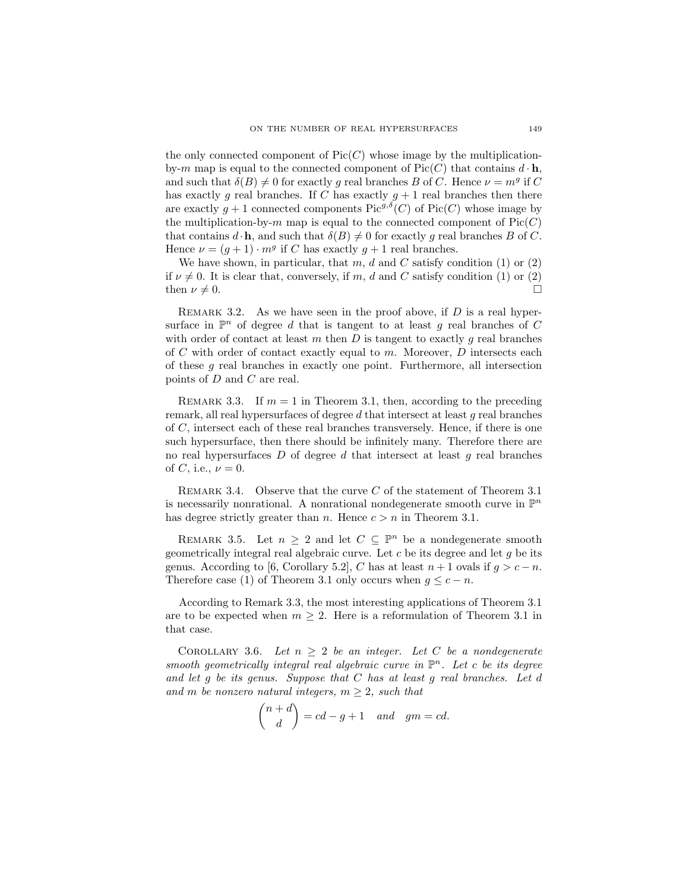the only connected component of  $Pic(C)$  whose image by the multiplicationby-m map is equal to the connected component of  $Pic(C)$  that contains  $d \cdot \mathbf{h}$ , and such that  $\delta(B) \neq 0$  for exactly g real branches B of C. Hence  $\nu = m<sup>g</sup>$  if C has exactly g real branches. If C has exactly  $g + 1$  real branches then there are exactly  $g + 1$  connected components Pic<sup>g, $\delta(C)$ </sup> of Pic $(C)$  whose image by the multiplication-by-m map is equal to the connected component of  $Pic(C)$ that contains  $d \cdot \mathbf{h}$ , and such that  $\delta(B) \neq 0$  for exactly g real branches B of C. Hence  $\nu = (g+1) \cdot m^g$  if C has exactly  $g+1$  real branches.

We have shown, in particular, that m, d and C satisfy condition  $(1)$  or  $(2)$ if  $\nu \neq 0$ . It is clear that, conversely, if m, d and C satisfy condition (1) or (2) then  $\nu \neq 0$ .

REMARK 3.2. As we have seen in the proof above, if  $D$  is a real hypersurface in  $\mathbb{P}^n$  of degree d that is tangent to at least g real branches of C with order of contact at least m then D is tangent to exactly q real branches of  $C$  with order of contact exactly equal to  $m$ . Moreover,  $D$  intersects each of these g real branches in exactly one point. Furthermore, all intersection points of D and C are real.

REMARK 3.3. If  $m = 1$  in Theorem 3.1, then, according to the preceding remark, all real hypersurfaces of degree  $d$  that intersect at least  $g$  real branches of C, intersect each of these real branches transversely. Hence, if there is one such hypersurface, then there should be infinitely many. Therefore there are no real hypersurfaces  $D$  of degree  $d$  that intersect at least  $g$  real branches of C, i.e.,  $\nu = 0$ .

REMARK 3.4. Observe that the curve  $C$  of the statement of Theorem 3.1 is necessarily nonrational. A nonrational nondegenerate smooth curve in  $\mathbb{P}^n$ has degree strictly greater than *n*. Hence  $c > n$  in Theorem 3.1.

REMARK 3.5. Let  $n \geq 2$  and let  $C \subseteq \mathbb{P}^n$  be a nondegenerate smooth geometrically integral real algebraic curve. Let  $c$  be its degree and let  $g$  be its genus. According to [6, Corollary 5.2], C has at least  $n+1$  ovals if  $q > c-n$ . Therefore case (1) of Theorem 3.1 only occurs when  $g \leq c - n$ .

According to Remark 3.3, the most interesting applications of Theorem 3.1 are to be expected when  $m \geq 2$ . Here is a reformulation of Theorem 3.1 in that case.

COROLLARY 3.6. Let  $n \geq 2$  be an integer. Let C be a nondegenerate smooth geometrically integral real algebraic curve in  $\mathbb{P}^n$ . Let c be its degree and let  $g$  be its genus. Suppose that  $C$  has at least  $g$  real branches. Let  $d$ and m be nonzero natural integers,  $m \geq 2$ , such that

$$
\binom{n+d}{d} = cd - g + 1 \quad and \quad gm = cd.
$$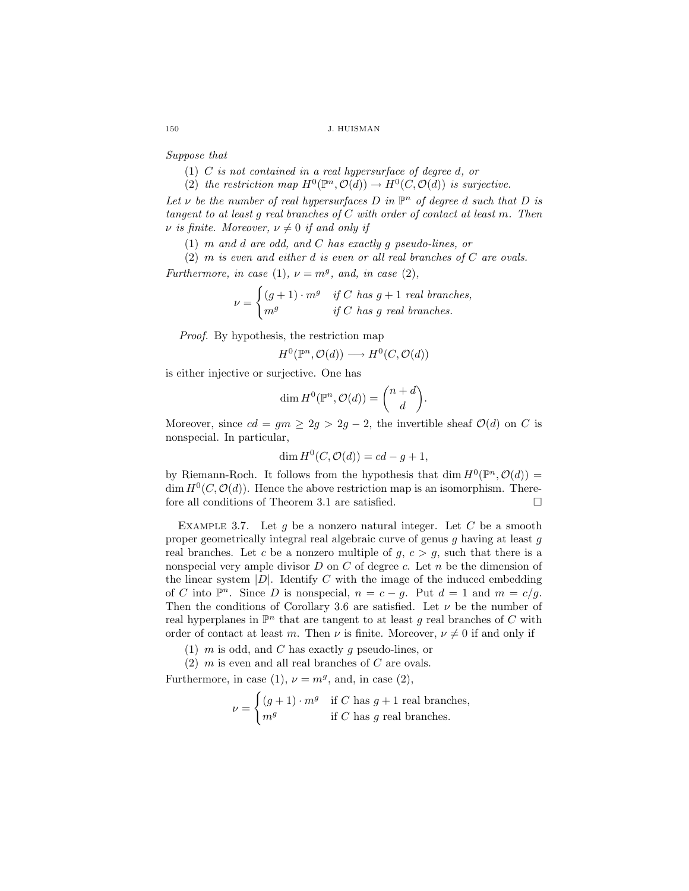Suppose that

- (1) C is not contained in a real hypersurface of degree d, or
- (2) the restriction map  $H^0(\mathbb{P}^n, \mathcal{O}(d)) \to H^0(C, \mathcal{O}(d))$  is surjective.

Let  $\nu$  be the number of real hypersurfaces D in  $\mathbb{P}^n$  of degree d such that D is tangent to at least q real branches of  $C$  with order of contact at least m. Then  $\nu$  is finite. Moreover,  $\nu \neq 0$  if and only if

(1) m and d are odd, and C has exactly g pseudo-lines, or

 $(2)$  m is even and either d is even or all real branches of C are ovals.

Furthermore, in case (1),  $\nu = m^g$ , and, in case (2),

$$
\nu = \begin{cases} (g+1) \cdot m^g & \text{if } C \text{ has } g+1 \text{ real branches,} \\ m^g & \text{if } C \text{ has } g \text{ real branches.} \end{cases}
$$

Proof. By hypothesis, the restriction map

$$
H^0(\mathbb{P}^n, \mathcal{O}(d)) \longrightarrow H^0(C, \mathcal{O}(d))
$$

is either injective or surjective. One has

$$
\dim H^0(\mathbb{P}^n, \mathcal{O}(d)) = \binom{n+d}{d}.
$$

Moreover, since  $cd = gm \geq 2g > 2g - 2$ , the invertible sheaf  $\mathcal{O}(d)$  on C is nonspecial. In particular,

$$
\dim H^0(C, \mathcal{O}(d)) = cd - g + 1,
$$

by Riemann-Roch. It follows from the hypothesis that dim  $H^0(\mathbb{P}^n, \mathcal{O}(d)) =$ dim  $H^0(C, \mathcal{O}(d))$ . Hence the above restriction map is an isomorphism. Therefore all conditions of Theorem 3.1 are satisfied.  $\Box$ 

EXAMPLE 3.7. Let  $g$  be a nonzero natural integer. Let  $C$  be a smooth proper geometrically integral real algebraic curve of genus g having at least g real branches. Let c be a nonzero multiple of  $q, c > q$ , such that there is a nonspecial very ample divisor  $D$  on  $C$  of degree  $c$ . Let  $n$  be the dimension of the linear system  $|D|$ . Identify C with the image of the induced embedding of C into  $\mathbb{P}^n$ . Since D is nonspecial,  $n = c - g$ . Put  $d = 1$  and  $m = c/g$ . Then the conditions of Corollary 3.6 are satisfied. Let  $\nu$  be the number of real hyperplanes in  $\mathbb{P}^n$  that are tangent to at least g real branches of C with order of contact at least m. Then  $\nu$  is finite. Moreover,  $\nu \neq 0$  if and only if

- (1)  $m$  is odd, and  $C$  has exactly  $g$  pseudo-lines, or
- $(2)$  m is even and all real branches of C are ovals.

Furthermore, in case (1),  $\nu = m^g$ , and, in case (2),

$$
\nu = \begin{cases} (g+1) \cdot m^g & \text{if } C \text{ has } g+1 \text{ real branches,} \\ m^g & \text{if } C \text{ has } g \text{ real branches.} \end{cases}
$$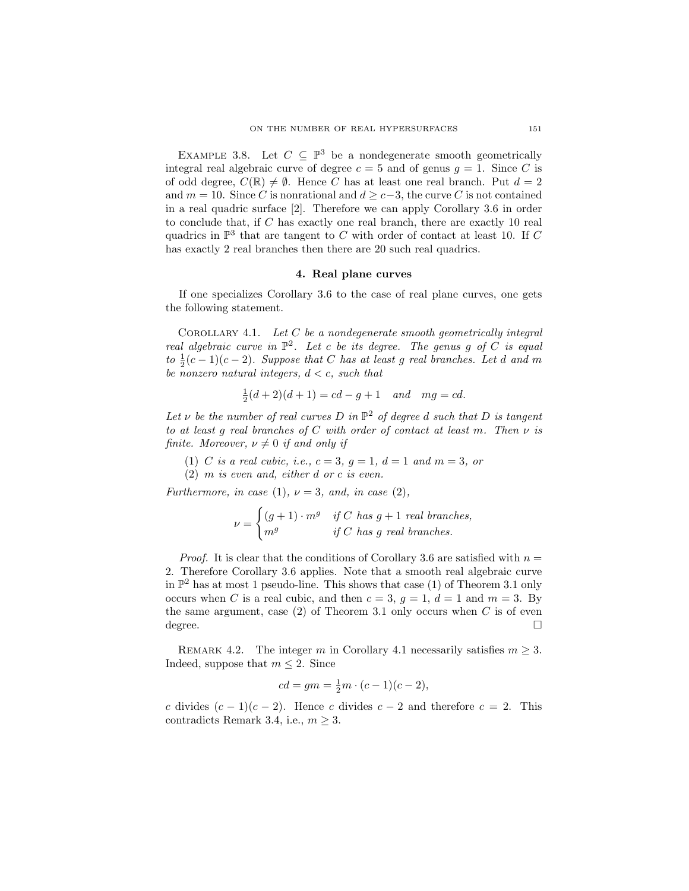EXAMPLE 3.8. Let  $C \subseteq \mathbb{P}^3$  be a nondegenerate smooth geometrically integral real algebraic curve of degree  $c = 5$  and of genus  $q = 1$ . Since C is of odd degree,  $C(\mathbb{R}) \neq \emptyset$ . Hence C has at least one real branch. Put  $d = 2$ and  $m = 10$ . Since C is nonrational and  $d \geq c-3$ , the curve C is not contained in a real quadric surface [2]. Therefore we can apply Corollary 3.6 in order to conclude that, if C has exactly one real branch, there are exactly 10 real quadrics in  $\mathbb{P}^3$  that are tangent to C with order of contact at least 10. If C has exactly 2 real branches then there are 20 such real quadrics.

#### 4. Real plane curves

If one specializes Corollary 3.6 to the case of real plane curves, one gets the following statement.

COROLLARY 4.1. Let  $C$  be a nondegenerate smooth geometrically integral real algebraic curve in  $\mathbb{P}^2$ . Let c be its degree. The genus g of C is equal to  $\frac{1}{2}(c-1)(c-2)$ . Suppose that C has at least g real branches. Let d and m be nonzero natural integers,  $d < c$ , such that

$$
\frac{1}{2}(d+2)(d+1) = cd - g + 1 \quad and \quad mg = cd.
$$

Let  $\nu$  be the number of real curves D in  $\mathbb{P}^2$  of degree d such that D is tangent to at least q real branches of C with order of contact at least m. Then  $\nu$  is finite. Moreover,  $\nu \neq 0$  if and only if

(1) C is a real cubic, i.e.,  $c = 3$ ,  $g = 1$ ,  $d = 1$  and  $m = 3$ , or

(2) m is even and, either d or c is even.

Furthermore, in case (1),  $\nu = 3$ , and, in case (2),

$$
\nu = \begin{cases} (g+1) \cdot m^g & \text{if } C \text{ has } g+1 \text{ real branches,} \\ m^g & \text{if } C \text{ has } g \text{ real branches.} \end{cases}
$$

*Proof.* It is clear that the conditions of Corollary 3.6 are satisfied with  $n =$ 2. Therefore Corollary 3.6 applies. Note that a smooth real algebraic curve in  $\mathbb{P}^2$  has at most 1 pseudo-line. This shows that case (1) of Theorem 3.1 only occurs when C is a real cubic, and then  $c = 3$ ,  $q = 1$ ,  $d = 1$  and  $m = 3$ . By the same argument, case  $(2)$  of Theorem 3.1 only occurs when C is of even  $degree.$ 

REMARK 4.2. The integer m in Corollary 4.1 necessarily satisfies  $m \geq 3$ . Indeed, suppose that  $m \leq 2$ . Since

$$
cd=gm=\frac{1}{2}m\cdot(c-1)(c-2),
$$

c divides  $(c-1)(c-2)$ . Hence c divides  $c-2$  and therefore  $c=2$ . This contradicts Remark 3.4, i.e.,  $m \geq 3$ .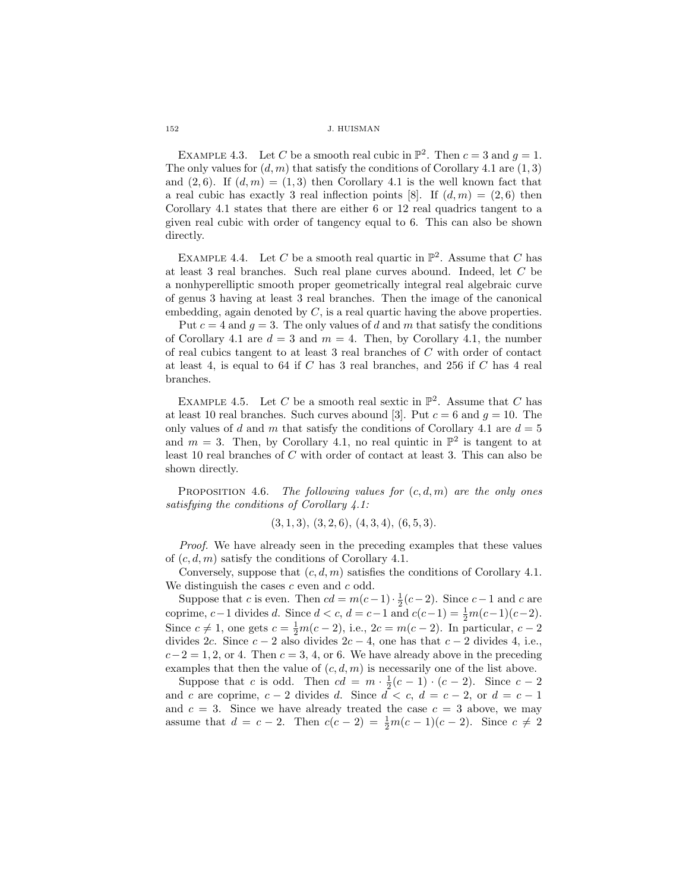EXAMPLE 4.3. Let C be a smooth real cubic in  $\mathbb{P}^2$ . Then  $c = 3$  and  $g = 1$ . The only values for  $(d, m)$  that satisfy the conditions of Corollary 4.1 are  $(1, 3)$ and  $(2, 6)$ . If  $(d, m) = (1, 3)$  then Corollary 4.1 is the well known fact that a real cubic has exactly 3 real inflection points [8]. If  $(d,m) = (2,6)$  then Corollary 4.1 states that there are either 6 or 12 real quadrics tangent to a given real cubic with order of tangency equal to 6. This can also be shown directly.

EXAMPLE 4.4. Let C be a smooth real quartic in  $\mathbb{P}^2$ . Assume that C has at least 3 real branches. Such real plane curves abound. Indeed, let C be a nonhyperelliptic smooth proper geometrically integral real algebraic curve of genus 3 having at least 3 real branches. Then the image of the canonical embedding, again denoted by  $C$ , is a real quartic having the above properties.

Put  $c = 4$  and  $g = 3$ . The only values of d and m that satisfy the conditions of Corollary 4.1 are  $d = 3$  and  $m = 4$ . Then, by Corollary 4.1, the number of real cubics tangent to at least 3 real branches of C with order of contact at least 4, is equal to 64 if  $C$  has 3 real branches, and 256 if  $C$  has 4 real branches.

EXAMPLE 4.5. Let C be a smooth real sextic in  $\mathbb{P}^2$ . Assume that C has at least 10 real branches. Such curves abound [3]. Put  $c = 6$  and  $g = 10$ . The only values of d and m that satisfy the conditions of Corollary 4.1 are  $d = 5$ and  $m = 3$ . Then, by Corollary 4.1, no real quintic in  $\mathbb{P}^2$  is tangent to at least 10 real branches of C with order of contact at least 3. This can also be shown directly.

PROPOSITION 4.6. The following values for  $(c, d, m)$  are the only ones satisfying the conditions of Corollary 4.1:

 $(3, 1, 3), (3, 2, 6), (4, 3, 4), (6, 5, 3).$ 

Proof. We have already seen in the preceding examples that these values of  $(c, d, m)$  satisfy the conditions of Corollary 4.1.

Conversely, suppose that  $(c, d, m)$  satisfies the conditions of Corollary 4.1. We distinguish the cases  $c$  even and  $c$  odd.

Suppose that c is even. Then  $cd = m(c-1) \cdot \frac{1}{2}(c-2)$ . Since  $c-1$  and c are coprime,  $c-1$  divides d. Since  $d < c$ ,  $d = c-1$  and  $c(c-1) = \frac{1}{2}m(c-1)(c-2)$ . Since  $c \neq 1$ , one gets  $c = \frac{1}{2}m(c-2)$ , i.e.,  $2c = m(c-2)$ . In particular,  $c - 2$ divides 2c. Since  $c - 2$  also divides  $2c - 4$ , one has that  $c - 2$  divides 4, i.e.,  $c-2=1, 2, \text{ or } 4.$  Then  $c=3, 4, \text{ or } 6.$  We have already above in the preceding examples that then the value of  $(c, d, m)$  is necessarily one of the list above.

Suppose that c is odd. Then  $cd = m \cdot \frac{1}{2}(c-1) \cdot (c-2)$ . Since  $c-2$ and c are coprime,  $c - 2$  divides d. Since  $d < c$ ,  $d = c - 2$ , or  $d = c - 1$ and  $c = 3$ . Since we have already treated the case  $c = 3$  above, we may assume that  $d = c - 2$ . Then  $c(c - 2) = \frac{1}{2}m(c - 1)(c - 2)$ . Since  $c \neq 2$